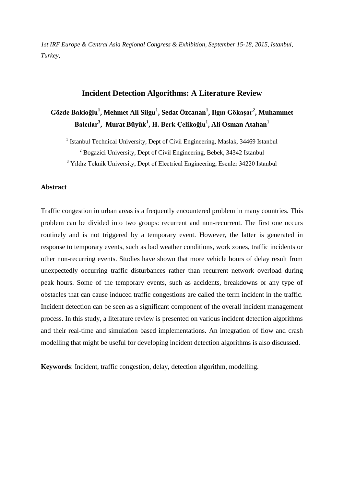*1st IRF Europe & Central Asia Regional Congress & Exhibition, September 15-18, 2015, Istanbul, Turkey,*

# **Incident Detection Algorithms: A Literature Review**

# **Gözde Bakioğlu<sup>1</sup> , Mehmet Ali Silgu<sup>1</sup> , Sedat Özcanan<sup>1</sup> , Ilgın Gökaşar<sup>2</sup> , Muhammet Balcılar<sup>3</sup> , Murat Büyük<sup>1</sup> , H. Berk Çelikoğlu<sup>1</sup> , Ali Osman Atahan<sup>1</sup>**

<sup>1</sup> Istanbul Technical University, Dept of Civil Engineering, Maslak, 34469 Istanbul

<sup>2</sup> Bogazici University, Dept of Civil Engineering, Bebek, 34342 Istanbul

<sup>3</sup> Yıldız Teknik University, Dept of Electrical Engineering, Esenler 34220 Istanbul

# **Abstract**

Traffic congestion in urban areas is a frequently encountered problem in many countries. This problem can be divided into two groups: recurrent and non-recurrent. The first one occurs routinely and is not triggered by a temporary event. However, the latter is generated in response to temporary events, such as bad weather conditions, work zones, traffic incidents or other non-recurring events. Studies have shown that more vehicle hours of delay result from unexpectedly occurring traffic disturbances rather than recurrent network overload during peak hours. Some of the temporary events, such as accidents, breakdowns or any type of obstacles that can cause induced traffic congestions are called the term incident in the traffic. Incident detection can be seen as a significant component of the overall incident management process. In this study, a literature review is presented on various incident detection algorithms and their real-time and simulation based implementations. An integration of flow and crash modelling that might be useful for developing incident detection algorithms is also discussed.

**Keywords**: Incident, traffic congestion, delay, detection algorithm, modelling.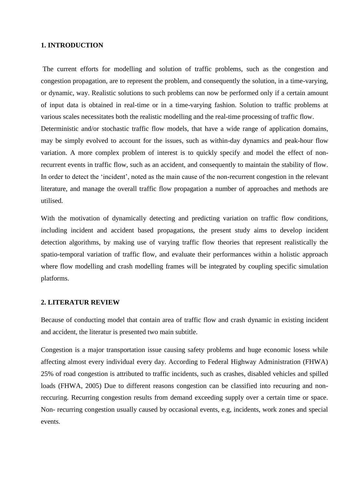## **1. INTRODUCTION**

The current efforts for modelling and solution of traffic problems, such as the congestion and congestion propagation, are to represent the problem, and consequently the solution, in a time-varying, or dynamic, way. Realistic solutions to such problems can now be performed only if a certain amount of input data is obtained in real-time or in a time-varying fashion. Solution to traffic problems at various scales necessitates both the realistic modelling and the real-time processing of traffic flow. Deterministic and/or stochastic traffic flow models, that have a wide range of application domains, may be simply evolved to account for the issues, such as within-day dynamics and peak-hour flow variation. A more complex problem of interest is to quickly specify and model the effect of nonrecurrent events in traffic flow, such as an accident, and consequently to maintain the stability of flow. In order to detect the 'incident', noted as the main cause of the non-recurrent congestion in the relevant literature, and manage the overall traffic flow propagation a number of approaches and methods are utilised.

With the motivation of dynamically detecting and predicting variation on traffic flow conditions, including incident and accident based propagations, the present study aims to develop incident detection algorithms, by making use of varying traffic flow theories that represent realistically the spatio-temporal variation of traffic flow, and evaluate their performances within a holistic approach where flow modelling and crash modelling frames will be integrated by coupling specific simulation platforms.

### **2. LITERATUR REVIEW**

Because of conducting model that contain area of traffic flow and crash dynamic in existing incident and accident, the literatur is presented two main subtitle.

Congestion is a major transportation issue causing safety problems and huge economic losess while affecting almost every individual every day. According to Federal Highway Administration (FHWA) 25% of road congestion is attributed to traffic incidents, such as crashes, disabled vehicles and spilled loads (FHWA, 2005) Due to different reasons congestion can be classified into recuuring and nonreccuring. Recurring congestion results from demand exceeding supply over a certain time or space. Non- recurring congestion usually caused by occasional events, e.g, incidents, work zones and special events.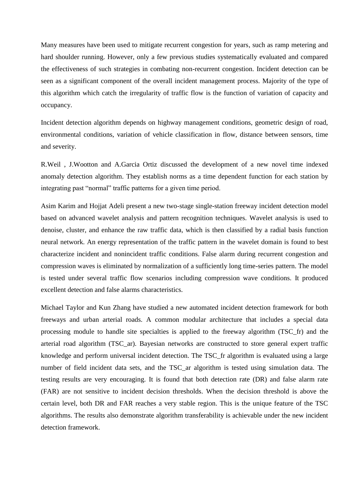Many measures have been used to mitigate recurrent congestion for years, such as ramp metering and hard shoulder running. However, only a few previous studies systematically evaluated and compared the effectiveness of such strategies in combating non-recurrent congestion. Incident detection can be seen as a significant component of the overall incident management process. Majority of the type of this algorithm which catch the irregularity of traffic flow is the function of variation of capacity and occupancy.

Incident detection algorithm depends on highway management conditions, geometric design of road, environmental conditions, variation of vehicle classification in flow, distance between sensors, time and severity.

R.Weil , J.Wootton and A.Garcia Ortiz discussed the development of a new novel time indexed anomaly detection algorithm. They establish norms as a time dependent function for each station by integrating past "normal" traffic patterns for a given time period.

Asim Karim and Hojjat Adeli present a new two-stage single-station freeway incident detection model based on advanced wavelet analysis and pattern recognition techniques. Wavelet analysis is used to denoise, cluster, and enhance the raw traffic data, which is then classified by a radial basis function neural network. An energy representation of the traffic pattern in the wavelet domain is found to best characterize incident and nonincident traffic conditions. False alarm during recurrent congestion and compression waves is eliminated by normalization of a sufficiently long time-series pattern. The model is tested under several traffic flow scenarios including compression wave conditions. It produced excellent detection and false alarms characteristics.

Michael Taylor and Kun Zhang have studied a new automated incident detection framework for both freeways and urban arterial roads. A common modular architecture that includes a special data processing module to handle site specialties is applied to the freeway algorithm (TSC\_fr) and the arterial road algorithm (TSC\_ar). Bayesian networks are constructed to store general expert traffic knowledge and perform universal incident detection. The TSC\_fr algorithm is evaluated using a large number of field incident data sets, and the TSC\_ar algorithm is tested using simulation data. The testing results are very encouraging. It is found that both detection rate (DR) and false alarm rate (FAR) are not sensitive to incident decision thresholds. When the decision threshold is above the certain level, both DR and FAR reaches a very stable region. This is the unique feature of the TSC algorithms. The results also demonstrate algorithm transferability is achievable under the new incident detection framework.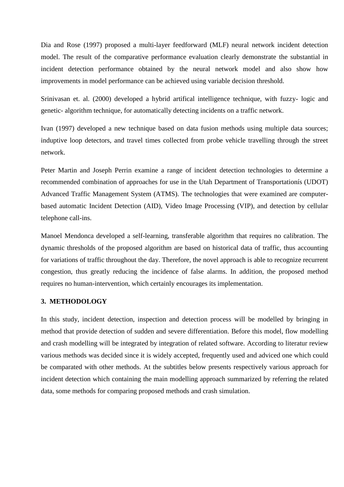Dia and Rose (1997) proposed a multi-layer feedforward (MLF) neural network incident detection model. The result of the comparative performance evaluation clearly demonstrate the substantial in incident detection performance obtained by the neural network model and also show how improvements in model performance can be achieved using variable decision threshold.

Srinivasan et. al. (2000) developed a hybrid artifical intelligence technique, with fuzzy- logic and genetic- algorithm technique, for automatically detecting incidents on a traffic network.

Ivan (1997) developed a new technique based on data fusion methods using multiple data sources; induptive loop detectors, and travel times collected from probe vehicle travelling through the street network.

Peter Martin and Joseph Perrin examine a range of incident detection technologies to determine a recommended combination of approaches for use in the Utah Department of Transportationís (UDOT) Advanced Traffic Management System (ATMS). The technologies that were examined are computerbased automatic Incident Detection (AID), Video Image Processing (VIP), and detection by cellular telephone call-ins.

Manoel Mendonca developed a self-learning, transferable algorithm that requires no calibration. The dynamic thresholds of the proposed algorithm are based on historical data of traffic, thus accounting for variations of traffic throughout the day. Therefore, the novel approach is able to recognize recurrent congestion, thus greatly reducing the incidence of false alarms. In addition, the proposed method requires no human-intervention, which certainly encourages its implementation.

### **3. METHODOLOGY**

In this study, incident detection, inspection and detection process will be modelled by bringing in method that provide detection of sudden and severe differentiation. Before this model, flow modelling and crash modelling will be integrated by integration of related software. According to literatur review various methods was decided since it is widely accepted, frequently used and adviced one which could be comparated with other methods. At the subtitles below presents respectively various approach for incident detection which containing the main modelling approach summarized by referring the related data, some methods for comparing proposed methods and crash simulation.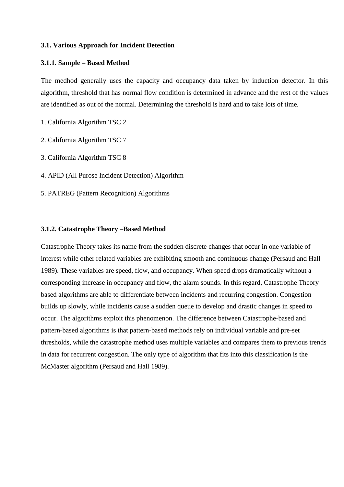### **3.1. Various Approach for Incident Detection**

### **3.1.1. Sample – Based Method**

The medhod generally uses the capacity and occupancy data taken by induction detector. In this algorithm, threshold that has normal flow condition is determined in advance and the rest of the values are identified as out of the normal. Determining the threshold is hard and to take lots of time.

- 1. California Algorithm TSC 2
- 2. California Algorithm TSC 7
- 3. California Algorithm TSC 8
- 4. APID (All Purose Incident Detection) Algorithm
- 5. PATREG (Pattern Recognition) Algorithms

### **3.1.2. Catastrophe Theory –Based Method**

Catastrophe Theory takes its name from the sudden discrete changes that occur in one variable of interest while other related variables are exhibiting smooth and continuous change (Persaud and Hall 1989). These variables are speed, flow, and occupancy. When speed drops dramatically without a corresponding increase in occupancy and flow, the alarm sounds. In this regard, Catastrophe Theory based algorithms are able to differentiate between incidents and recurring congestion. Congestion builds up slowly, while incidents cause a sudden queue to develop and drastic changes in speed to occur. The algorithms exploit this phenomenon. The difference between Catastrophe-based and pattern-based algorithms is that pattern-based methods rely on individual variable and pre-set thresholds, while the catastrophe method uses multiple variables and compares them to previous trends in data for recurrent congestion. The only type of algorithm that fits into this classification is the McMaster algorithm (Persaud and Hall 1989).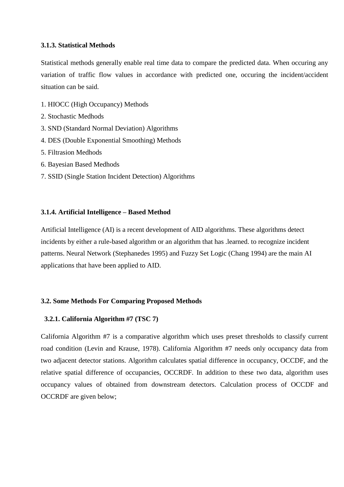## **3.1.3. Statistical Methods**

Statistical methods generally enable real time data to compare the predicted data. When occuring any variation of traffic flow values in accordance with predicted one, occuring the incident/accident situation can be said.

- 1. HIOCC (High Occupancy) Methods
- 2. Stochastic Medhods
- 3. SND (Standard Normal Deviation) Algorithms
- 4. DES (Double Exponential Smoothing) Methods
- 5. Filtrasion Medhods
- 6. Bayesian Based Medhods
- 7. SSID (Single Station Incident Detection) Algorithms

# **3.1.4. Artificial Intelligence – Based Method**

Artificial Intelligence (AI) is a recent development of AID algorithms. These algorithms detect incidents by either a rule-based algorithm or an algorithm that has .learned. to recognize incident patterns. Neural Network (Stephanedes 1995) and Fuzzy Set Logic (Chang 1994) are the main AI applications that have been applied to AID.

# **3.2. Some Methods For Comparing Proposed Methods**

### **3.2.1. California Algorithm #7 (TSC 7)**

California Algorithm #7 is a comparative algorithm which uses preset thresholds to classify current road condition (Levin and Krause, 1978). California Algorithm #7 needs only occupancy data from two adjacent detector stations. Algorithm calculates spatial difference in occupancy, OCCDF, and the relative spatial difference of occupancies, OCCRDF. In addition to these two data, algorithm uses occupancy values of obtained from downstream detectors. Calculation process of OCCDF and OCCRDF are given below;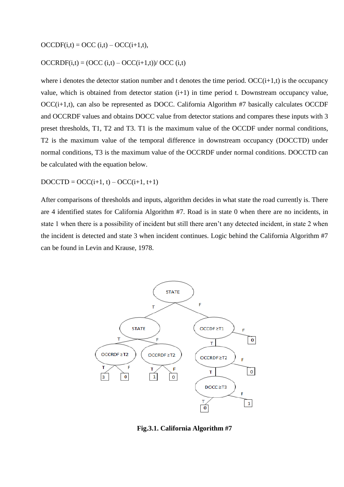$OCCDF(i,t) = OCC(i,t) - OCC(i+1,t),$ 

## $OCCRDF(i,t) = (OCC (i,t) - OCC(i+1,t))/ OCC (i,t)$

where i denotes the detector station number and t denotes the time period.  $OCC(i+1,t)$  is the occupancy value, which is obtained from detector station (i+1) in time period t. Downstream occupancy value, OCC(i+1,t), can also be represented as DOCC. California Algorithm #7 basically calculates OCCDF and OCCRDF values and obtains DOCC value from detector stations and compares these inputs with 3 preset thresholds, T1, T2 and T3. T1 is the maximum value of the OCCDF under normal conditions, T2 is the maximum value of the temporal difference in downstream occupancy (DOCCTD) under normal conditions, T3 is the maximum value of the OCCRDF under normal conditions. DOCCTD can be calculated with the equation below.

 $DOCCTD = OCC(i+1, t) - OCC(i+1, t+1)$ 

After comparisons of thresholds and inputs, algorithm decides in what state the road currently is. There are 4 identified states for California Algorithm #7. Road is in state 0 when there are no incidents, in state 1 when there is a possibility of incident but still there aren't any detected incident, in state 2 when the incident is detected and state 3 when incident continues. Logic behind the California Algorithm #7 can be found in Levin and Krause, 1978.



**Fig.3.1. California Algorithm #7**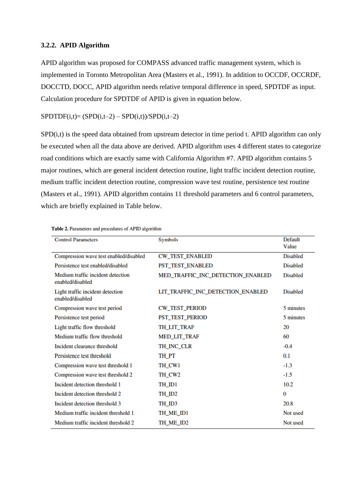### **3.2.2. APID Algorithm**

APID algorithm was proposed for COMPASS advanced traffic management system, which is implemented in Toronto Metropolitan Area (Masters et al., 1991). In addition to OCCDF, OCCRDF, DOCCTD, DOCC, APID algorithm needs relative temporal difference in speed, SPDTDF as input. Calculation procedure for SPDTDF of APID is given in equation below.

### $SPDTDF(i,t)=(SPD(i,t-2)-SPD(i,t))/SPD(i,t-2)$

SPD(i,t) is the speed data obtained from upstream detector in time period t. APID algorithm can only be executed when all the data above are derived. APID algorithm uses 4 different states to categorize road conditions which are exactly same with California Algorithm #7. APID algorithm contains 5 major routines, which are general incident detection routine, light traffic incident detection routine, medium traffic incident detection routine, compression wave test routine, persistence test routine (Masters et al., 1991). APID algorithm contains 11 threshold parameters and 6 control parameters, which are briefly explained in Table below.

| <b>Control Parameters</b>                             | Symbols                           | Default         |
|-------------------------------------------------------|-----------------------------------|-----------------|
|                                                       |                                   | Value           |
| Compression wave test enabled/disabled                | <b>CW_TEST_ENABLED</b>            | <b>Disabled</b> |
| Persistence test enabled/disabled                     | PST_TEST_ENABLED                  | <b>Disabled</b> |
| Medium traffic incident detection<br>enabled/disabled | MED_TRAFFIC_INC_DETECTION_ENABLED | <b>Disabled</b> |
| Light traffic incident detection<br>enabled/disabled  | LIT_TRAFFIC_INC_DETECTION_ENABLED | <b>Disabled</b> |
| Compression wave test period                          | <b>CW_TEST_PERIOD</b>             | 5 minutes       |
| Persistence test period                               | PST_TEST_PERIOD                   | 5 minutes       |
| Light traffic flow threshold                          | TH_LIT_TRAF                       | 20              |
| Medium traffic flow threshold                         | MED_LIT_TRAF                      | 60              |
| Incident clearance threshold                          | TH INC CLR                        | $-0.4$          |
| Persistence test threshold                            | TH_PT                             | 0.1             |
| Compression wave test threshold 1                     | TH_CW1                            | $-1.3$          |
| Compression wave test threshold 2                     | TH CW <sub>2</sub>                | $-1.5$          |
| Incident detection threshold 1                        | TH_ID1                            | 10.2            |
| Incident detection threshold 2                        | TH_ID2                            | $\bf{0}$        |
| Incident detection threshold 3                        | TH_ID3                            | 20.8            |
| Medium traffic incident threshold 1                   | TH_ME_ID1                         | Not used        |
| Medium traffic incident threshold 2                   | TH_ME_ID2                         | Not used        |

Table 2. Parameters and procedures of APID algorithm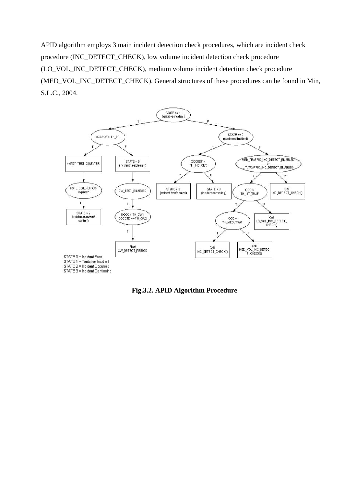APID algorithm employs 3 main incident detection check procedures, which are incident check procedure (INC\_DETECT\_CHECK), low volume incident detection check procedure (LO\_VOL\_INC\_DETECT\_CHECK), medium volume incident detection check procedure (MED\_VOL\_INC\_DETECT\_CHECK). General structures of these procedures can be found in Min, S.L.C., 2004.



**Fig.3.2. APID Algorithm Procedure**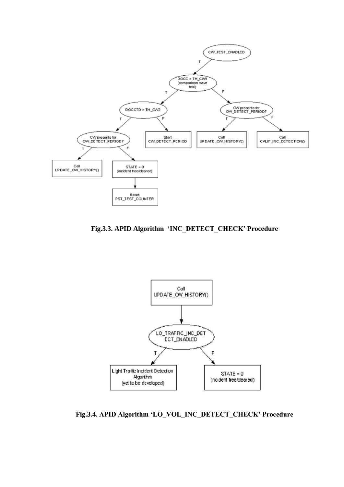

**Fig.3.3. APID Algorithm 'INC\_DETECT\_CHECK' Procedure**



**Fig.3.4. APID Algorithm 'LO\_VOL\_INC\_DETECT\_CHECK' Procedure**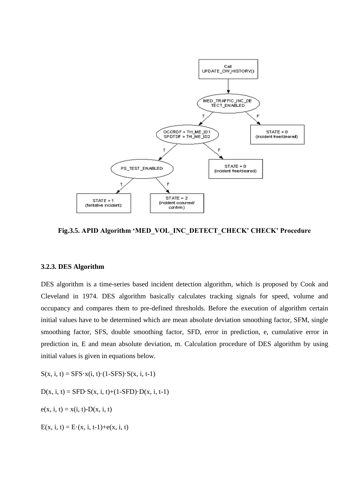

**Fig.3.5. APID Algorithm 'MED\_VOL\_INC\_DETECT\_CHECK' CHECK' Procedure**

### **3.2.3. DES Algorithm**

DES algorithm is a time-series based incident detection algorithm, which is proposed by Cook and Cleveland in 1974. DES algorithm basically calculates tracking signals for speed, volume and occupancy and compares them to pre-defined thresholds. Before the execution of algorithm certain initial values have to be determined which are mean absolute deviation smoothing factor, SFM, single smoothing factor, SFS, double smoothing factor, SFD, error in prediction, e, cumulative error in prediction in, E and mean absolute deviation, m. Calculation procedure of DES algorithm by using initial values is given in equations below.

 $S(x, i, t) = SFS \cdot x(i, t) \cdot (1 - SFS) \cdot S(x, i, t-1)$ 

 $D(x, i, t) = SFD \cdot S(x, i, t) + (1-SFD) \cdot D(x, i, t-1)$ 

 $e(x, i, t) = x(i, t) - D(x, i, t)$ 

 $E(x, i, t) = E(x, i, t-1) + e(x, i, t)$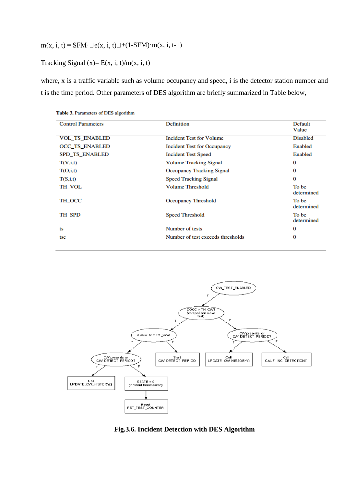# $m(x, i, t) = \text{SFM} \cdot \square e(x, i, t) \square + (1-\text{SFM}) \cdot m(x, i, t-1)$

Tracking Signal  $(x)= E(x, i, t)/m(x, i, t)$ 

where, x is a traffic variable such as volume occupancy and speed, i is the detector station number and t is the time period. Other parameters of DES algorithm are briefly summarized in Table below,

| <b>Control Parameters</b> | <b>Definition</b>                  | Default<br>Value    |
|---------------------------|------------------------------------|---------------------|
| <b>VOL_TS_ENABLED</b>     | <b>Incident Test for Volume</b>    | <b>Disabled</b>     |
| <b>OCC TS ENABLED</b>     | <b>Incident Test for Occupancy</b> | Enabled             |
| <b>SPD TS ENABLED</b>     | <b>Incident Test Speed</b>         | Enabled             |
| T(V,i,t)                  | <b>Volume Tracking Signal</b>      | 0                   |
| T(O,i,t)                  | <b>Occupancy Tracking Signal</b>   | 0                   |
| T(S,i,t)                  | <b>Speed Tracking Signal</b>       | 0                   |
| TH VOL                    | <b>Volume Threshold</b>            | To be<br>determined |
| TH OCC                    | <b>Occupancy Threshold</b>         | To be<br>determined |
| TH SPD                    | <b>Speed Threshold</b>             | To be<br>determined |
| ts                        | Number of tests                    | 0                   |
| tse                       | Number of test exceeds thresholds  | 0                   |

Table 3. Parameters of DES algorithm



**Fig.3.6. Incident Detection with DES Algorithm**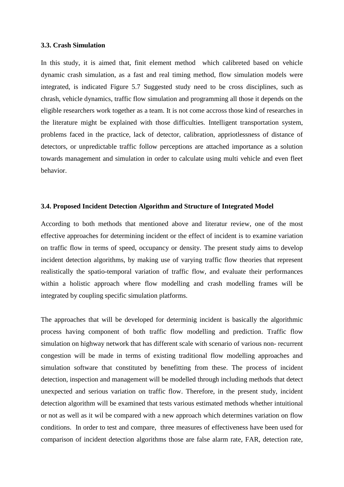### **3.3. Crash Simulation**

In this study, it is aimed that, finit element method which calibreted based on vehicle dynamic crash simulation, as a fast and real timing method, flow simulation models were integrated, is indicated Figure 5.7 Suggested study need to be cross disciplines, such as chrash, vehicle dynamics, traffic flow simulation and programming all those it depends on the eligible researchers work together as a team. It is not come accross those kind of researches in the literature might be explained with those difficulties. Intelligent transportation system, problems faced in the practice, lack of detector, calibration, appriotlessness of distance of detectors, or unpredictable traffic follow perceptions are attached importance as a solution towards management and simulation in order to calculate using multi vehicle and even fleet behavior.

### **3.4. Proposed Incident Detection Algorithm and Structure of Integrated Model**

According to both methods that mentioned above and literatur review, one of the most effective approaches for determining incident or the effect of incident is to examine variation on traffic flow in terms of speed, occupancy or density. The present study aims to develop incident detection algorithms, by making use of varying traffic flow theories that represent realistically the spatio-temporal variation of traffic flow, and evaluate their performances within a holistic approach where flow modelling and crash modelling frames will be integrated by coupling specific simulation platforms.

The approaches that will be developed for determinig incident is basically the algorithmic process having component of both traffic flow modelling and prediction. Traffic flow simulation on highway network that has different scale with scenario of various non- recurrent congestion will be made in terms of existing traditional flow modelling approaches and simulation software that constituted by benefitting from these. The process of incident detection, inspection and management will be modelled through including methods that detect unexpected and serious variation on traffic flow. Therefore, in the present study, incident detection algorithm will be examined that tests various estimated methods whether intuitional or not as well as it wil be compared with a new approach which determines variation on flow conditions. In order to test and compare, three measures of effectiveness have been used for comparison of incident detection algorithms those are false alarm rate, FAR, detection rate,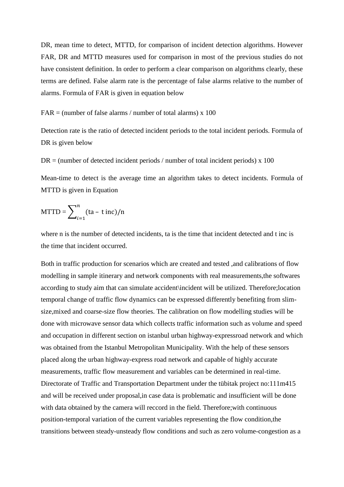DR, mean time to detect, MTTD, for comparison of incident detection algorithms. However FAR, DR and MTTD measures used for comparison in most of the previous studies do not have consistent definition. In order to perform a clear comparison on algorithms clearly, these terms are defined. False alarm rate is the percentage of false alarms relative to the number of alarms. Formula of FAR is given in equation below

 $FAR =$  (number of false alarms / number of total alarms) x 100

Detection rate is the ratio of detected incident periods to the total incident periods. Formula of DR is given below

 $DR =$  (number of detected incident periods / number of total incident periods) x 100

Mean-time to detect is the average time an algorithm takes to detect incidents. Formula of MTTD is given in Equation

$$
MTTD = \sum_{i=1}^{n} (ta - t inc)/n
$$

where n is the number of detected incidents, ta is the time that incident detected and t inc is the time that incident occurred.

Both in traffic production for scenarios which are created and tested ,and calibrations of flow modelling in sample itinerary and network components with real measurements,the softwares according to study aim that can simulate accident\incident will be utilized. Therefore;location temporal change of traffic flow dynamics can be expressed differently benefiting from slimsize,mixed and coarse-size flow theories. The calibration on flow modelling studies will be done with microwave sensor data which collects traffic information such as volume and speed and occupation in different section on istanbul urban highway-expressroad network and which was obtained from the Istanbul Metropolitan Municipality. With the help of these sensors placed along the urban highway-express road network and capable of highly accurate measurements, traffic flow measurement and variables can be determined in real-time. Directorate of Traffic and Transportation Department under the tübitak project no:111m415 and will be received under proposal,in case data is problematic and insufficient will be done with data obtained by the camera will reccord in the field. Therefore;with continuous position-temporal variation of the current variables representing the flow condition,the transitions between steady-unsteady flow conditions and such as zero volume-congestion as a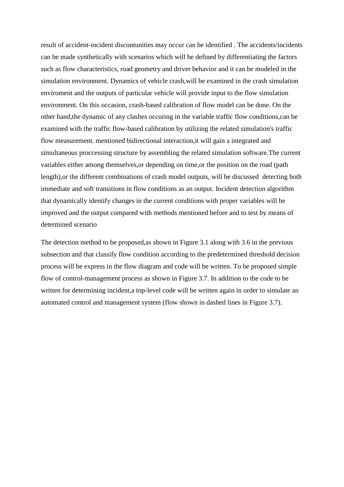result of accident-incident discontunities may occur can be identified . The accidents/incidents can be made synthetically with scenarios which will be defined by differentiating the factors such as flow characteristics, road geometry and driver behavior and it can be modeled in the simulation environment. Dynamics of vehicle crash,will be examined in the crash simulation enviroment and the outputs of particular vehicle will provide input to the flow simulation environment. On this occasion, crash-based calibration of flow model can be done. On the other hand,the dynamic of any clashes occuring in the variable traffic flow conditions,can be examined with the traffic flow-based calibration by utilizing the related simulation's traffic flow measurement. mentioned bidirectional interaction,it will gain a integrated and simultaneous proccessing structure by assembling the related simulation software.The current variables either among themselves,or depending on time,or the position on the road (path length),or the different combinations of crash model outputs, will be discussed detecting both immediate and soft transitions in flow conditions as an output. Incident detection algorithm that dynamically identify changes in the current conditions with proper variables will be improved and the output compared with methods mentioned before and to test by means of determined scenario

The detection method to be proposed,as shown in Figure 3.1 along with 3.6 in the previous subsection and that classify flow condition according to the predetermined threshold decision process will be express in the flow diagram and code will be written. To be proposed simple flow of control-management process as shown in Figure 3.7. In addition to the code to be written for determining incident,a top-level code will be written again in order to simulate an automated control and management system (flow shown in dashed lines in Figure 3.7).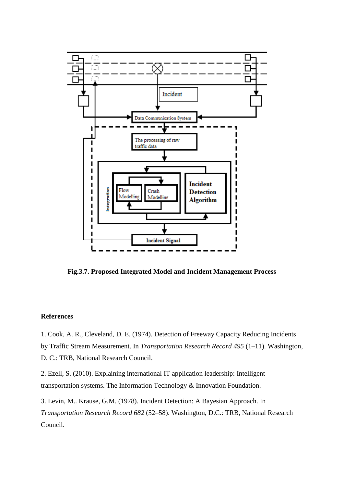

**Fig.3.7. Proposed Integrated Model and Incident Management Process**

### **References**

1. Cook, A. R., Cleveland, D. E. (1974). Detection of Freeway Capacity Reducing Incidents by Traffic Stream Measurement. In *Transportation Research Record 495* (1–11). Washington, D. C.: TRB, National Research Council.

2. Ezell, S. (2010). Explaining international IT application leadership: Intelligent transportation systems. The Information Technology & Innovation Foundation.

3. Levin, M.. Krause, G.M. (1978). Incident Detection: A Bayesian Approach. In *Transportation Research Record 682* (52–58). Washington, D.C.: TRB, National Research Council.